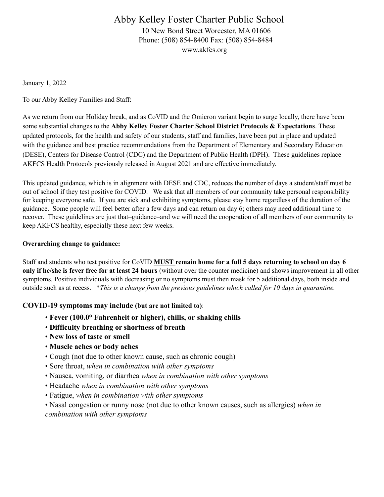# Abby Kelley Foster Charter Public School 10 New Bond Street Worcester, MA 01606 Phone: (508) 854-8400 Fax: (508) 854-8484

www.akfcs.org

January 1, 2022

To our Abby Kelley Families and Staff:

As we return from our Holiday break, and as CoVID and the Omicron variant begin to surge locally, there have been some substantial changes to the **Abby Kelley Foster Charter School District Protocols & Expectations**. These updated protocols, for the health and safety of our students, staff and families, have been put in place and updated with the guidance and best practice recommendations from the Department of Elementary and Secondary Education (DESE), Centers for Disease Control (CDC) and the Department of Public Health (DPH). These guidelines replace AKFCS Health Protocols previously released in August 2021 and are effective immediately.

This updated guidance, which is in alignment with DESE and CDC, reduces the number of days a student/staff must be out of school if they test positive for COVID. We ask that all members of our community take personal responsibility for keeping everyone safe. If you are sick and exhibiting symptoms, please stay home regardless of the duration of the guidance. Some people will feel better after a few days and can return on day 6; others may need additional time to recover. These guidelines are just that–guidance–and we will need the cooperation of all members of our community to keep AKFCS healthy, especially these next few weeks.

#### **Overarching change to guidance:**

Staff and students who test positive for CoVID **MUST remain home for a full 5 days returning to school on day 6 only if he/she is fever free for at least 24 hours** (without over the counter medicine) and shows improvement in all other symptoms. Positive individuals with decreasing or no symptoms must then mask for 5 additional days, both inside and outside such as at recess. \**This is a change from the previous guidelines which called for 10 days in quarantine.*

### **COVID-19 symptoms may include (but are not limited to)**:

- **Fever (100.0° Fahrenheit or higher), chills, or shaking chills**
- **Difficulty breathing or shortness of breath**
- **New loss of taste or smell**
- **Muscle aches or body aches**
- Cough (not due to other known cause, such as chronic cough)
- Sore throat, *when in combination with other symptoms*
- Nausea, vomiting, or diarrhea *when in combination with other symptoms*
- Headache *when in combination with other symptoms*
- Fatigue, *when in combination with other symptoms*

• Nasal congestion or runny nose (not due to other known causes, such as allergies) *when in combination with other symptoms*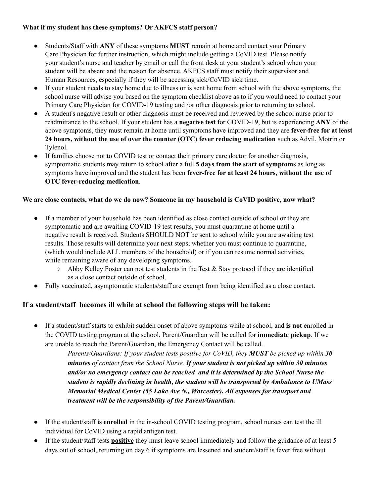## **What if my student has these symptoms? Or AKFCS staff person?**

- Students/Staff with **ANY** of these symptoms **MUST** remain at home and contact your Primary Care Physician for further instruction, which might include getting a CoVID test. Please notify your student's nurse and teacher by email or call the front desk at your student's school when your student will be absent and the reason for absence. AKFCS staff must notify their supervisor and Human Resources, especially if they will be accessing sick/CoVID sick time.
- If your student needs to stay home due to illness or is sent home from school with the above symptoms, the school nurse will advise you based on the symptom checklist above as to if you would need to contact your Primary Care Physician for COVID-19 testing and /or other diagnosis prior to returning to school.
- A student's negative result or other diagnosis must be received and reviewed by the school nurse prior to readmittance to the school. If your student has a **negative test** for COVID-19, but is experiencing **ANY** of the above symptoms, they must remain at home until symptoms have improved and they are **fever-free for at least 24 hours, without the use of over the counter (OTC) fever reducing medication** such as Advil, Motrin or Tylenol.
- If families choose not to COVID test or contact their primary care doctor for another diagnosis, symptomatic students may return to school after a full **5 days from the start of symptoms** as long as symptoms have improved and the student has been **fever-free for at least 24 hours, without the use of OTC fever-reducing medication**.

### **We are close contacts, what do we do now? Someone in my household is CoVID positive, now what?**

- If a member of your household has been identified as close contact outside of school or they are symptomatic and are awaiting COVID-19 test results, you must quarantine at home until a negative result is received. Students SHOULD NOT be sent to school while you are awaiting test results. Those results will determine your next steps; whether you must continue to quarantine, (which would include ALL members of the household) or if you can resume normal activities, while remaining aware of any developing symptoms.
	- $\circ$  Abby Kelley Foster can not test students in the Test & Stay protocol if they are identified as a close contact outside of school.
- Fully vaccinated, asymptomatic students/staff are exempt from being identified as a close contact.

## **If a student/staff becomes ill while at school the following steps will be taken:**

● If a student/staff starts to exhibit sudden onset of above symptoms while at school, and **is not** enrolled in the COVID testing program at the school, Parent/Guardian will be called for **immediate pickup**. If we are unable to reach the Parent/Guardian, the Emergency Contact will be called.

> *Parents/Guardians: If your student tests positive for CoVID, they MUST be picked up within 30 minutes of contact from the School Nurse. If your student is not picked up within 30 minutes and/or no emergency contact can be reached and it is determined by the School Nurse the student is rapidly declining in health, the student will be transported by Ambulance to UMass Memorial Medical Center (55 Lake Ave N., Worcester). All expenses for transport and treatment will be the responsibility of the Parent/Guardian.*

- If the student/staff **is enrolled** in the in-school COVID testing program, school nurses can test the ill individual for CoVID using a rapid antigen test.
- If the student/staff tests **positive** they must leave school immediately and follow the guidance of at least 5 days out of school, returning on day 6 if symptoms are lessened and student/staff is fever free without